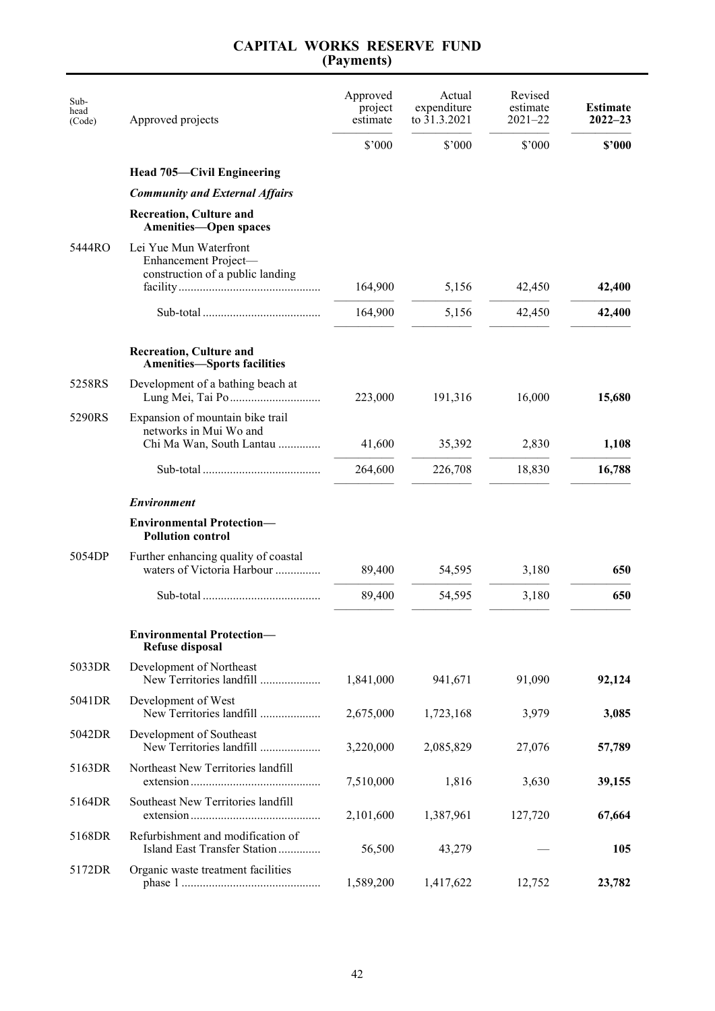| Sub-<br>head<br>(Code) | Approved projects                                                                                                                                                                    | Approved<br>project<br>estimate | Actual<br>expenditure<br>to 31.3.2021 | Revised<br>estimate<br>$2021 - 22$ | <b>Estimate</b><br>$2022 - 23$ |
|------------------------|--------------------------------------------------------------------------------------------------------------------------------------------------------------------------------------|---------------------------------|---------------------------------------|------------------------------------|--------------------------------|
|                        |                                                                                                                                                                                      | \$'000                          | \$'000                                | \$'000                             | \$2000                         |
|                        | <b>Head 705—Civil Engineering</b>                                                                                                                                                    |                                 |                                       |                                    |                                |
|                        | <b>Community and External Affairs</b>                                                                                                                                                |                                 |                                       |                                    |                                |
|                        | <b>Recreation, Culture and</b><br><b>Amenities-Open spaces</b>                                                                                                                       |                                 |                                       |                                    |                                |
| 5444RO                 | Lei Yue Mun Waterfront<br>Enhancement Project-<br>construction of a public landing<br>$facility \dots \dots \dots \dots \dots \dots \dots \dots \dots \dots \dots \dots \dots \dots$ | 164,900                         | 5,156                                 | 42,450                             | 42,400                         |
|                        |                                                                                                                                                                                      | 164,900                         | 5,156                                 | 42,450                             | 42,400                         |
|                        | <b>Recreation, Culture and</b><br><b>Amenities-Sports facilities</b>                                                                                                                 |                                 |                                       |                                    |                                |
| 5258RS                 | Development of a bathing beach at                                                                                                                                                    | 223,000                         | 191,316                               | 16,000                             | 15,680                         |
| 5290RS                 | Expansion of mountain bike trail<br>networks in Mui Wo and<br>Chi Ma Wan, South Lantau                                                                                               | 41,600                          | 35,392                                | 2,830                              | 1,108                          |
|                        |                                                                                                                                                                                      | 264,600                         | 226,708                               | 18,830                             | 16,788                         |
|                        | <b>Environment</b>                                                                                                                                                                   |                                 |                                       |                                    |                                |
|                        | <b>Environmental Protection-</b><br><b>Pollution control</b>                                                                                                                         |                                 |                                       |                                    |                                |
| 5054DP                 | Further enhancing quality of coastal<br>waters of Victoria Harbour                                                                                                                   | 89,400                          | 54,595                                | 3,180                              | 650                            |
|                        |                                                                                                                                                                                      | 89,400                          | 54,595                                | 3,180                              | 650                            |
|                        | <b>Environmental Protection-</b><br><b>Refuse disposal</b>                                                                                                                           |                                 |                                       |                                    |                                |
| 5033DR                 | Development of Northeast<br>New Territories landfill                                                                                                                                 | 1,841,000                       | 941,671                               | 91,090                             | 92,124                         |
| 5041DR                 | Development of West<br>New Territories landfill                                                                                                                                      | 2,675,000                       | 1,723,168                             | 3,979                              | 3,085                          |
| 5042DR                 | Development of Southeast<br>New Territories landfill                                                                                                                                 | 3,220,000                       | 2,085,829                             | 27,076                             | 57,789                         |
| 5163DR                 | Northeast New Territories landfill                                                                                                                                                   | 7,510,000                       | 1,816                                 | 3,630                              | 39,155                         |
| 5164DR                 | Southeast New Territories landfill                                                                                                                                                   | 2,101,600                       | 1,387,961                             | 127,720                            | 67,664                         |
| 5168DR                 | Refurbishment and modification of<br>Island East Transfer Station                                                                                                                    | 56,500                          | 43,279                                |                                    | 105                            |
| 5172DR                 | Organic waste treatment facilities                                                                                                                                                   | 1,589,200                       | 1,417,622                             | 12,752                             | 23,782                         |

### **CAPITAL WORKS RESERVE FUND (Payments)**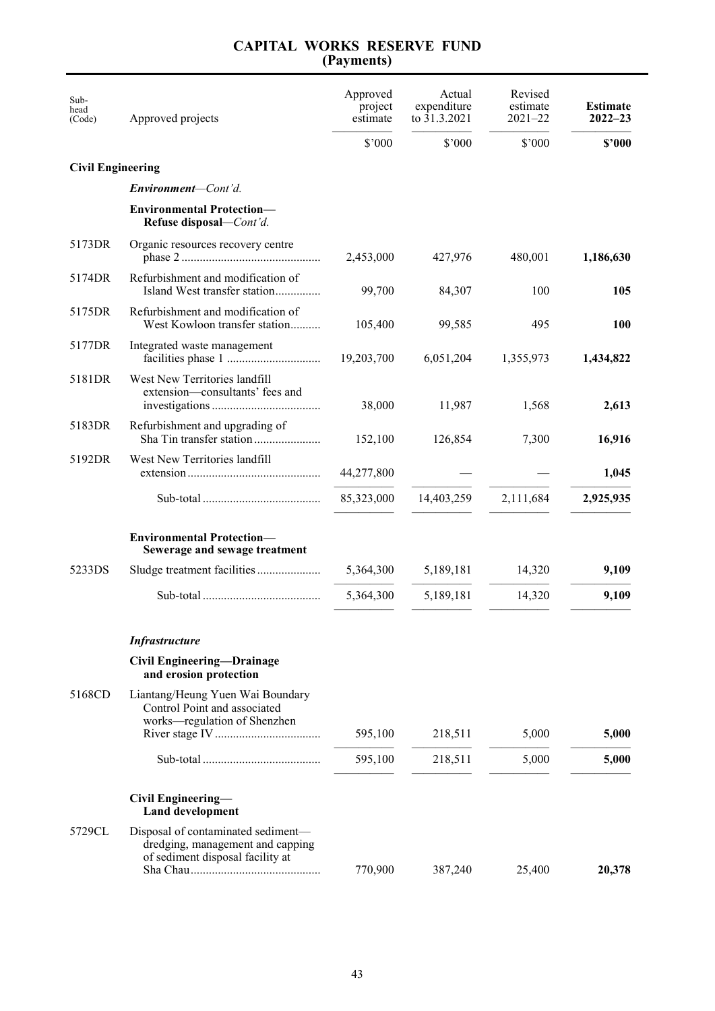#### **(Payments)** Subhead<br>(Code) Approved projects Approved project estimate Actual expenditure to 31.3.2021 Revised estimate 2021–22 **Estimate 2022–23** ————— ————— ————— ————— \$'000 \$'000 \$'000 **\$'000 Civil Engineering** *Environment—Cont'd.* **Environmental Protection— Refuse disposal***—Cont'd.* 5173DR Organic resources recovery centre phase 2 ..................................................... 2,453,000 427,976 480,001 **1,186,630** 5174DR Refurbishment and modification of Island West transfer station...................... 99,700 84,307 100 **105** 5175DR Refurbishment and modification of West Kowloon transfer station................. 105,400 99,585 495 **100** 5177DR Integrated waste management facilities phase 1 ......................................19,203,700 6,051,204 1,355,973 **1,434,822** 5181DR West New Territories landfill extension—consultants' fees and investigations........................................... 38,000 11,987 1,568 **2,613** 5183DR Refurbishment and upgrading of Sha Tin transfer station ............................. 152,100 126,854 7,300 **16,916** 5192DR West New Territories landfill extension...................................................44,277,800 — — **1,045** ————— ————— ————— ————— Sub-total ..............................................85,323,000 14,403,259 2,111,684 **2,925,935** ————— ————— ————— ————— **Environmental Protection— Sewerage and sewage treatment** 5233DS Sludge treatment facilities............................ 5,364,300 5,189,181 14,320 **9,109** ————— ————— ————— ————— Sub-total .............................................. 5,364,300 5,189,181 14,320 **9,109** ————— ————— ————— ————— *Infrastructure* **Civil Engineering—Drainage and erosion protection** 5168CD Liantang/Heung Yuen Wai Boundary Control Point and associated works—regulation of Shenzhen River stage IV.......................................... 595,100 218,511 5,000 **5,000** ————— ————— ————— ————— Sub-total .............................................. 595,100 218,511 5,000 **5,000** ————— ————— ————— ————— **Civil Engineering— Land development**

# **CAPITAL WORKS RESERVE FUND**

5729CL Disposal of contaminated sediment dredging, management and capping of sediment disposal facility at Sha Chau.................................................. 770,900 387,240 25,400 **20,378**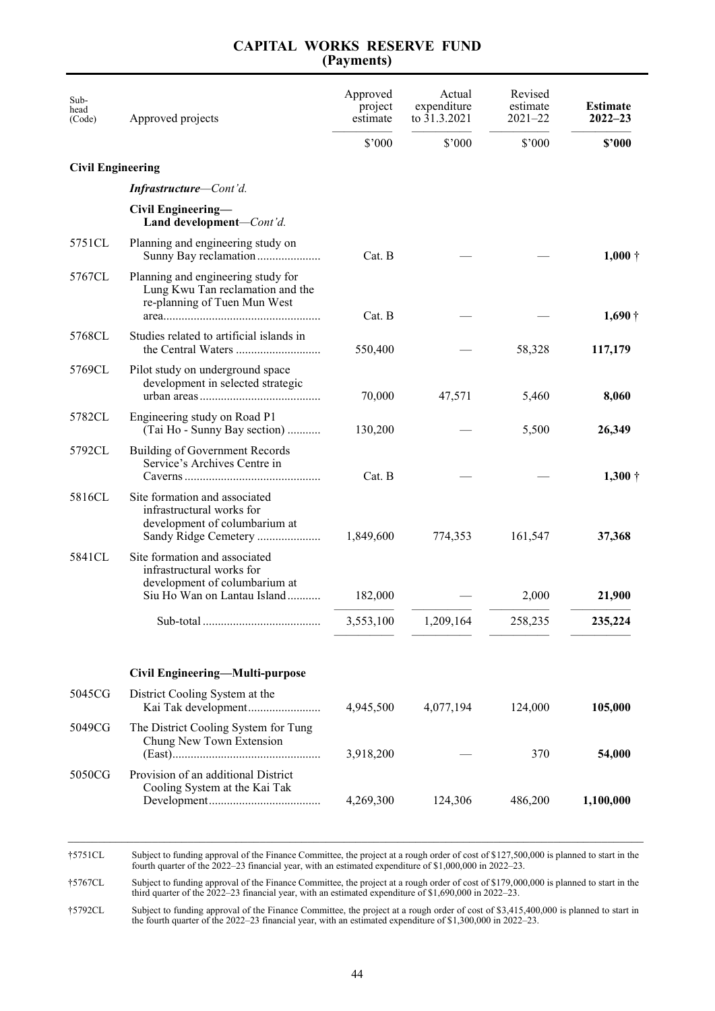| Sub-<br>head<br>(Code)   | Approved projects                                                                                                          | Approved<br>project<br>estimate | Actual<br>expenditure<br>to 31.3.2021 | Revised<br>estimate<br>$2021 - 22$ | <b>Estimate</b><br>$2022 - 23$ |
|--------------------------|----------------------------------------------------------------------------------------------------------------------------|---------------------------------|---------------------------------------|------------------------------------|--------------------------------|
|                          |                                                                                                                            | $$^{\prime}000$                 | \$'000                                | $$^{\prime}000$                    | \$2000                         |
| <b>Civil Engineering</b> |                                                                                                                            |                                 |                                       |                                    |                                |
|                          | Infrastructure-Cont'd.                                                                                                     |                                 |                                       |                                    |                                |
|                          | Civil Engineering-<br>Land development-Cont'd.                                                                             |                                 |                                       |                                    |                                |
| 5751CL                   | Planning and engineering study on<br>Sunny Bay reclamation                                                                 | $Cat$ . $B$                     |                                       |                                    | $1,000 +$                      |
| 5767CL                   | Planning and engineering study for<br>Lung Kwu Tan reclamation and the<br>re-planning of Tuen Mun West                     | Cat. B                          |                                       |                                    | $1,690\dagger$                 |
| 5768CL                   | Studies related to artificial islands in                                                                                   | 550,400                         |                                       | 58,328                             | 117,179                        |
| 5769CL                   | Pilot study on underground space<br>development in selected strategic                                                      | 70,000                          | 47,571                                | 5,460                              | 8,060                          |
| 5782CL                   | Engineering study on Road P1<br>(Tai Ho - Sunny Bay section)                                                               | 130,200                         |                                       | 5,500                              | 26,349                         |
| 5792CL                   | Building of Government Records<br>Service's Archives Centre in                                                             | Cat. B                          |                                       |                                    | $1,300 \dagger$                |
| 5816CL                   | Site formation and associated<br>infrastructural works for<br>development of columbarium at<br>Sandy Ridge Cemetery        | 1,849,600                       | 774,353                               | 161,547                            | 37,368                         |
| 5841CL                   | Site formation and associated<br>infrastructural works for<br>development of columbarium at<br>Siu Ho Wan on Lantau Island | 182,000                         |                                       | 2,000                              | 21,900                         |
|                          |                                                                                                                            | 3,553,100                       | 1,209,164                             | 258,235                            | 235,224                        |
|                          | Civil Engineering-Multi-purpose                                                                                            |                                 |                                       |                                    |                                |
| 5045CG                   | District Cooling System at the                                                                                             | 4,945,500                       | 4,077,194                             | 124,000                            | 105,000                        |
| 5049CG                   | The District Cooling System for Tung<br>Chung New Town Extension                                                           | 3,918,200                       |                                       | 370                                | 54,000                         |
| 5050CG                   | Provision of an additional District<br>Cooling System at the Kai Tak                                                       | 4,269,300                       | 124,306                               | 486,200                            | 1,100,000                      |
|                          |                                                                                                                            |                                 |                                       |                                    |                                |

### **CAPITAL WORKS RESERVE FUND (Payments)**

†5751CL Subject to funding approval of the Finance Committee, the project at a rough order of cost of \$127,500,000 is planned to start in the fourth quarter of the 2022–23 financial year, with an estimated expenditure of \$1,000,000 in 2022–23.

†5767CL Subject to funding approval of the Finance Committee, the project at a rough order of cost of \$179,000,000 is planned to start in the third quarter of the 2022–23 financial year, with an estimated expenditure of \$1,690,000 in 2022–23.

†5792CL Subject to funding approval of the Finance Committee, the project at a rough order of cost of \$3,415,400,000 is planned to start in the fourth quarter of the 2022–23 financial year, with an estimated expenditure of \$1,300,000 in 2022–23.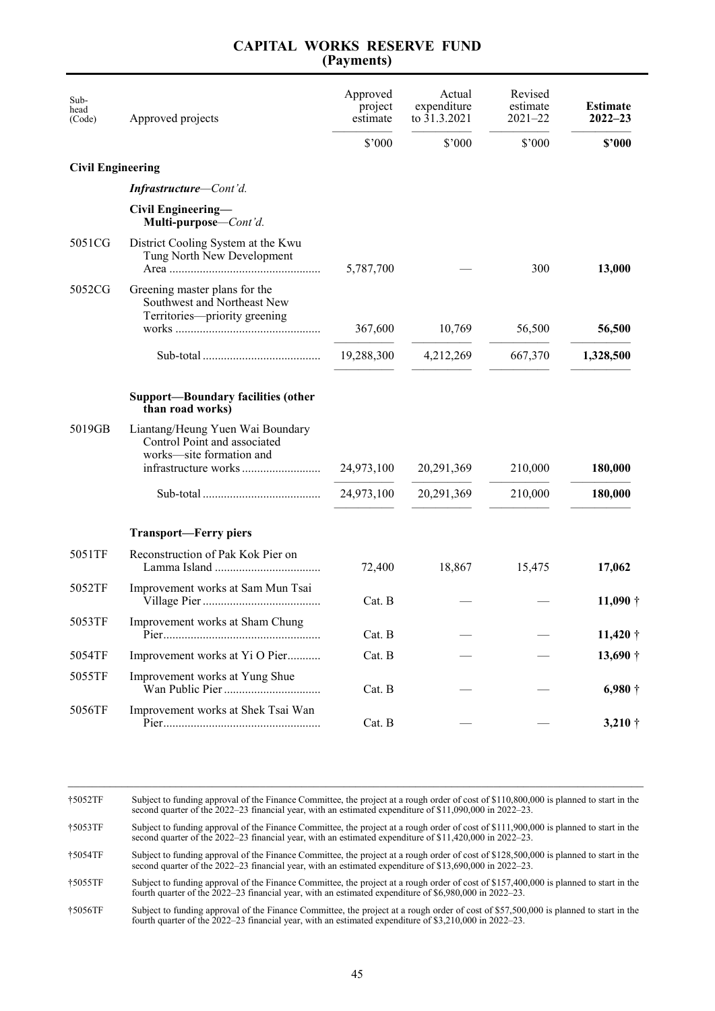| Sub-<br>head<br>(Code)   | Approved projects                                                                             | Approved<br>project<br>estimate | Actual<br>expenditure<br>to 31.3.2021 | Revised<br>estimate<br>$2021 - 22$ | <b>Estimate</b><br>$2022 - 23$ |
|--------------------------|-----------------------------------------------------------------------------------------------|---------------------------------|---------------------------------------|------------------------------------|--------------------------------|
|                          |                                                                                               | \$'000                          | $$^{\prime}000$                       | \$'000                             | \$2000                         |
| <b>Civil Engineering</b> |                                                                                               |                                 |                                       |                                    |                                |
|                          | Infrastructure-Cont'd.                                                                        |                                 |                                       |                                    |                                |
|                          | Civil Engineering-<br>Multi-purpose-Cont'd.                                                   |                                 |                                       |                                    |                                |
| 5051CG                   | District Cooling System at the Kwu<br>Tung North New Development                              | 5,787,700                       |                                       | 300                                | 13,000                         |
| 5052CG                   | Greening master plans for the<br>Southwest and Northeast New<br>Territories-priority greening |                                 |                                       |                                    |                                |
|                          |                                                                                               | 367,600                         | 10,769                                | 56,500                             | 56,500                         |
|                          |                                                                                               | 19,288,300                      | 4,212,269                             | 667,370                            | 1,328,500                      |
|                          | <b>Support-Boundary facilities (other</b><br>than road works)                                 |                                 |                                       |                                    |                                |
| 5019GB                   | Liantang/Heung Yuen Wai Boundary<br>Control Point and associated<br>works-site formation and  | 24,973,100                      | 20, 291, 369                          | 210,000                            | 180,000                        |
|                          |                                                                                               | 24,973,100                      | 20,291,369                            | 210,000                            | 180,000                        |
|                          | <b>Transport-Ferry piers</b>                                                                  |                                 |                                       |                                    |                                |
| 5051TF                   | Reconstruction of Pak Kok Pier on                                                             | 72,400                          | 18,867                                | 15,475                             | 17,062                         |
| 5052TF                   | Improvement works at Sam Mun Tsai                                                             | Cat. B                          |                                       |                                    | $11,090\dagger$                |
| 5053TF                   | Improvement works at Sham Chung                                                               | Cat. B                          |                                       |                                    | $11,420$ †                     |
| 5054TF                   | Improvement works at Yi O Pier                                                                | Cat. B                          |                                       |                                    | $13,690\dagger$                |
| 5055TF                   | Improvement works at Yung Shue                                                                | Cat. B                          |                                       |                                    | $6,980\dagger$                 |
| 5056TF                   | Improvement works at Shek Tsai Wan                                                            | Cat. B                          |                                       |                                    | $3,210 \dagger$                |

\_\_\_\_\_\_\_\_\_\_\_\_\_\_\_\_\_\_\_\_\_\_\_\_\_\_\_\_\_\_\_\_\_\_\_\_\_\_\_\_\_\_\_\_\_\_\_\_\_\_\_\_\_\_\_\_\_\_\_\_\_\_\_\_\_\_\_\_\_\_\_\_\_\_\_\_\_\_\_\_\_\_\_\_\_\_\_\_\_\_\_\_\_\_\_\_ †5052TF Subject to funding approval of the Finance Committee, the project at a rough order of cost of \$110,800,000 is planned to start in the second quarter of the 2022–23 financial year, with an estimated expenditure of \$11,090,000 in 2022–23.

†5053TF Subject to funding approval of the Finance Committee, the project at a rough order of cost of \$111,900,000 is planned to start in the second quarter of the 2022–23 financial year, with an estimated expenditure of \$11,420,000 in 2022–23.

†5054TF Subject to funding approval of the Finance Committee, the project at a rough order of cost of \$128,500,000 is planned to start in the second quarter of the 2022–23 financial year, with an estimated expenditure of \$13,690,000 in 2022–23.

†5055TF Subject to funding approval of the Finance Committee, the project at a rough order of cost of \$157,400,000 is planned to start in the fourth quarter of the 2022–23 financial year, with an estimated expenditure of \$6,980,000 in 2022–23.

†5056TF Subject to funding approval of the Finance Committee, the project at a rough order of cost of \$57,500,000 is planned to start in the fourth quarter of the 2022–23 financial year, with an estimated expenditure of \$3,210,000 in 2022–23.